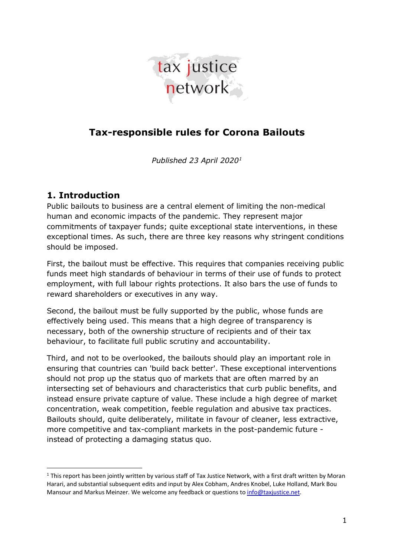

## **Tax-responsible rules for Corona Bailouts**

*Published 23 April 2020[1](#page-0-0)*

## **1. Introduction**

l

Public bailouts to business are a central element of limiting the non-medical human and economic impacts of the pandemic. They represent major commitments of taxpayer funds; quite exceptional state interventions, in these exceptional times. As such, there are three key reasons why stringent conditions should be imposed.

First, the bailout must be effective. This requires that companies receiving public funds meet high standards of behaviour in terms of their use of funds to protect employment, with full labour rights protections. It also bars the use of funds to reward shareholders or executives in any way.

Second, the bailout must be fully supported by the public, whose funds are effectively being used. This means that a high degree of transparency is necessary, both of the ownership structure of recipients and of their tax behaviour, to facilitate full public scrutiny and accountability.

Third, and not to be overlooked, the bailouts should play an important role in ensuring that countries can 'build back better'. These exceptional interventions should not prop up the status quo of markets that are often marred by an intersecting set of behaviours and characteristics that curb public benefits, and instead ensure private capture of value. These include a high degree of market concentration, weak competition, feeble regulation and abusive tax practices. Bailouts should, quite deliberately, militate in favour of cleaner, less extractive, more competitive and tax-compliant markets in the post-pandemic future instead of protecting a damaging status quo.

<span id="page-0-0"></span> $1$  This report has been jointly written by various staff of Tax Justice Network, with a first draft written by Moran Harari, and substantial subsequent edits and input by Alex Cobham, Andres Knobel, Luke Holland, Mark Bou Mansour and Markus Meinzer. We welcome any feedback or questions t[o info@taxjustice.net.](mailto:info@taxjustice.net)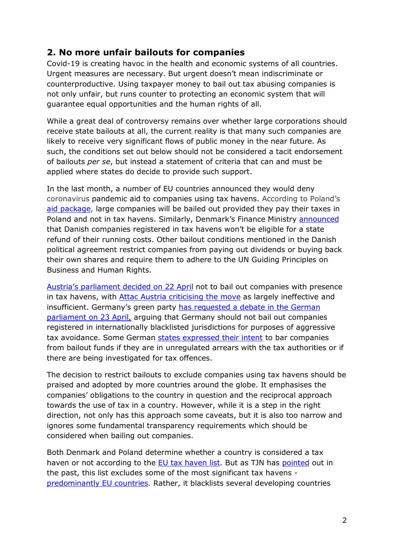## **2. No more unfair bailouts for companies**

Covid-19 is creating havoc in the health and economic systems of all countries. Urgent measures are necessary. But urgent doesn't mean indiscriminate or counterproductive. Using taxpayer money to bail out tax abusing companies is not only unfair, but runs counter to protecting an economic system that will guarantee equal opportunities and the human rights of all.

While a great deal of controversy remains over whether large corporations should receive state bailouts at all, the current reality is that many such companies are likely to receive very significant flows of public money in the near future. As such, the conditions set out below should not be considered a tacit endorsement of bailouts *per se*, but instead a statement of criteria that can and must be applied where states do decide to provide such support.

In the last month, a number of EU countries announced they would deny coronavirus pandemic aid to companies using tax havens. According to Poland's [aid package,](https://www.pb.pl/rzad-i-nbp-oglosza-plan-pomocy-firmom-relacja-987800) large companies will be bailed out provided they pay their taxes in Poland and not in tax havens. Similarly, Denmark's Finance Ministry [announced](https://www.law360.com/tax-authority/international/articles/1265237/denmark-denying-pandemic-aid-to-cos-using-tax-havens?nl_pk=08ae7ae9-d7a3-4cdc-aa65-88d11f5e89ca&utm_source=newsletter&utm_medium=email&utm_campaign=tax-authority/international) that Danish companies registered in tax havens won't be eligible for a state refund of their running costs. Other bailout conditions mentioned in the Danish political agreement restrict companies from paying out dividends or buying back their own shares and require them to adhere to the UN Guiding Principles on Business and Human Rights.

[Austria's parliament decided on 22 April](https://www.ots.at/presseaussendung/OTS_20200422_OTS0196/gruenetomaselli-keine-staatshilfen-fuer-steueroasen) not to bail out companies with presence in tax havens, with [Attac Austria criticising the move](https://www.attac.at/news/details/neues-verbot-von-corona-staatshilfen-fuer-konzerne-in-steuersuempfen-praktisch-wirkungslos) as largely ineffective and insufficient. Germany's green party has requested a debate in the German [parliament on 23 April,](https://dip21.bundestag.de/dip21/btd/19/187/1918703.pdf) arguing that Germany should not bail out companies registered in internationally blacklisted jurisdictions for purposes of aggressive tax avoidance. Some German [states expressed their intent](https://www.sueddeutsche.de/wirtschaft/corona-hilfe-konzerne-steuern-1.4884892) to bar companies from bailout funds if they are in unregulated arrears with the tax authorities or if there are being investigated for tax offences.

The decision to restrict bailouts to exclude companies using tax havens should be praised and adopted by more countries around the globe. It emphasises the companies' obligations to the country in question and the reciprocal approach towards the use of tax in a country. However, while it is a step in the right direction, not only has this approach some caveats, but it is also too narrow and ignores some fundamental transparency requirements which should be considered when bailing out companies.

Both Denmark and Poland determine whether a country is considered a tax haven or not according to the [EU tax haven list.](https://www.consilium.europa.eu/en/policies/eu-list-of-non-cooperative-jurisdictions/) But as TJN has [pointed](https://www.taxjustice.net/2017/11/27/blacklisting-the-eu-paradise-lost/) out in the past, this list excludes some of the most significant tax havens [predominantly EU countries.](https://www.taxjustice.net/2020/02/18/eu-blacklists-uks-crown-jewel-tax-haven-while-letting-other-tax-havens-off-the-hook/) Rather, it blacklists several developing countries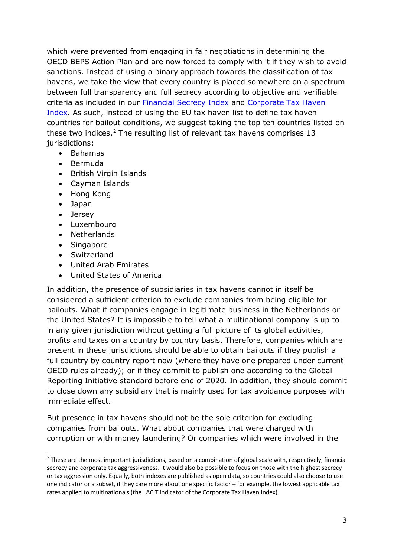which were prevented from engaging in fair negotiations in determining the OECD BEPS Action Plan and are now forced to comply with it if they wish to avoid sanctions. Instead of using a binary approach towards the classification of tax havens, we take the view that every country is placed somewhere on a spectrum between full transparency and full secrecy according to objective and verifiable criteria as included in our **Financial Secrecy Index and Corporate Tax Haven** [Index.](https://www.corporatetaxhavenindex.org/introduction/cthi-2019-results) As such, instead of using the EU tax haven list to define tax haven countries for bailout conditions, we suggest taking the top ten countries listed on these two indices.<sup>[2](#page-2-0)</sup> The resulting list of relevant tax havens comprises 13 iurisdictions:

- Bahamas
- Bermuda
- British Virgin Islands
- Cayman Islands
- Hong Kong
- Japan
- Jersey

1

- Luxembourg
- Netherlands
- Singapore
- Switzerland
- United Arab Emirates
- United States of America

In addition, the presence of subsidiaries in tax havens cannot in itself be considered a sufficient criterion to exclude companies from being eligible for bailouts. What if companies engage in legitimate business in the Netherlands or the United States? It is impossible to tell what a multinational company is up to in any given jurisdiction without getting a full picture of its global activities, profits and taxes on a country by country basis. Therefore, companies which are present in these jurisdictions should be able to obtain bailouts if they publish a full country by country report now (where they have one prepared under current OECD rules already); or if they commit to publish one according to the Global Reporting Initiative standard before end of 2020. In addition, they should commit to close down any subsidiary that is mainly used for tax avoidance purposes with immediate effect.

But presence in tax havens should not be the sole criterion for excluding companies from bailouts. What about companies that were charged with corruption or with money laundering? Or companies which were involved in the

<span id="page-2-0"></span><sup>&</sup>lt;sup>2</sup> These are the most important jurisdictions, based on a combination of global scale with, respectively, financial secrecy and corporate tax aggressiveness. It would also be possible to focus on those with the highest secrecy or tax aggression only. Equally, both indexes are published as open data, so countries could also choose to use one indicator or a subset, if they care more about one specific factor – for example, the lowest applicable tax rates applied to multinationals (the LACIT indicator of the Corporate Tax Haven Index).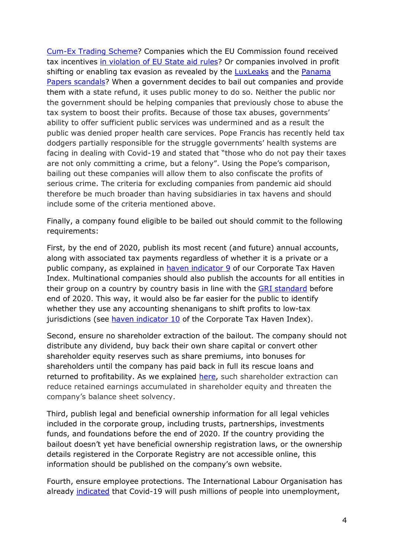[Cum-Ex Trading Scheme?](https://theconversation.com/the-robbery-of-the-century-the-cum-ex-trading-scandal-and-why-it-matters-124417) Companies which the EU Commission found received tax incentives [in violation of EU State aid rules?](https://ec.europa.eu/competition/state_aid/tax_rulings/index_en.html) Or companies involved in profit shifting or enabling tax evasion as revealed by the [LuxLeaks](https://www.icij.org/investigations/luxembourg-leaks/) and the Panama [Papers scandals](https://www.icij.org/investigations/panama-papers/)</u>? When a government decides to bail out companies and provide them with a state refund, it uses public money to do so. Neither the public nor the government should be helping companies that previously chose to abuse the tax system to boost their profits. Because of those tax abuses, governments' ability to offer sufficient public services was undermined and as a result the public was denied proper health care services. Pope Francis has recently held tax dodgers partially responsible for the struggle governments' health systems are facing in dealing with Covid-19 and stated that "those who do not pay their taxes are not only committing a crime, but a felony". Using the Pope's comparison, bailing out these companies will allow them to also confiscate the profits of serious crime. The criteria for excluding companies from pandemic aid should therefore be much broader than having subsidiaries in tax havens and should include some of the criteria mentioned above.

Finally, a company found eligible to be bailed out should commit to the following requirements:

First, by the end of 2020, publish its most recent (and future) annual accounts, along with associated tax payments regardless of whether it is a private or a public company, as explained in [haven indicator 9](https://corporatetaxhavenindex.org/PDF/9-Public-Company-Accounts.pdf) of our Corporate Tax Haven Index. Multinational companies should also publish the accounts for all entities in their group on a country by country basis in line with the [GRI standard](https://www.taxjustice.net/2019/12/05/businesses-campaigners-back-global-tax-standard-to-tackle-500bn-corporate-tax-abuse-epidemic/) before end of 2020. This way, it would also be far easier for the public to identify whether they use any accounting shenanigans to shift profits to low-tax jurisdictions (see [haven indicator 10](https://corporatetaxhavenindex.org/PDF/10-CBC-Reporting.pdf) of the Corporate Tax Haven Index).

Second, ensure no shareholder extraction of the bailout. The company should not distribute any dividend, buy back their own share capital or convert other shareholder equity reserves such as share premiums, into bonuses for shareholders until the company has paid back in full its rescue loans and returned to profitability. As we explained [here,](https://www.taxjustice.net/2020/03/30/corporate-financial-resilience-in-times-of-covid-19-a-perfect-storm/) such shareholder extraction can reduce retained earnings accumulated in shareholder equity and threaten the company's balance sheet solvency.

Third, publish legal and beneficial ownership information for all legal vehicles included in the corporate group, including trusts, partnerships, investments funds, and foundations before the end of 2020. If the country providing the bailout doesn't yet have beneficial ownership registration laws, or the ownership details registered in the Corporate Registry are not accessible online, this information should be published on the company's own website.

Fourth, ensure employee protections. The International Labour Organisation has already [indicated](https://www.ilo.org/global/about-the-ilo/newsroom/news/WCMS_738742/lang--en/index.htm) that Covid-19 will push millions of people into unemployment,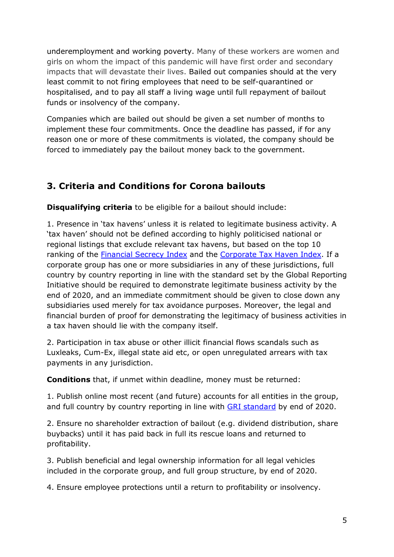underemployment and working poverty. Many of these workers are women and girls on whom the impact of this pandemic will have first order and secondary impacts that will devastate their lives. Bailed out companies should at the very least commit to not firing employees that need to be self-quarantined or hospitalised, and to pay all staff a living wage until full repayment of bailout funds or insolvency of the company.

Companies which are bailed out should be given a set number of months to implement these four commitments. Once the deadline has passed, if for any reason one or more of these commitments is violated, the company should be forced to immediately pay the bailout money back to the government.

## **3. Criteria and Conditions for Corona bailouts**

**Disqualifying criteria** to be eligible for a bailout should include:

1. Presence in 'tax havens' unless it is related to legitimate business activity. A 'tax haven' should not be defined according to highly politicised national or regional listings that exclude relevant tax havens, but based on the top 10 ranking of the [Financial Secrecy Index](https://fsi.taxjustice.net/en/introduction/fsi-results) and the [Corporate Tax Haven Index.](https://www.corporatetaxhavenindex.org/introduction/cthi-2019-results) If a corporate group has one or more subsidiaries in any of these jurisdictions, full country by country reporting in line with the standard set by the Global Reporting Initiative should be required to demonstrate legitimate business activity by the end of 2020, and an immediate commitment should be given to close down any subsidiaries used merely for tax avoidance purposes. Moreover, the legal and financial burden of proof for demonstrating the legitimacy of business activities in a tax haven should lie with the company itself.

2. Participation in tax abuse or other illicit financial flows scandals such as Luxleaks, Cum-Ex, illegal state aid etc, or open unregulated arrears with tax payments in any jurisdiction.

**Conditions** that, if unmet within deadline, money must be returned:

1. Publish online most recent (and future) accounts for all entities in the group, and full country by country reporting in line with [GRI standard](https://www.taxjustice.net/2019/12/05/businesses-campaigners-back-global-tax-standard-to-tackle-500bn-corporate-tax-abuse-epidemic/) by end of 2020.

2. Ensure no shareholder extraction of bailout (e.g. dividend distribution, share buybacks) until it has paid back in full its rescue loans and returned to profitability.

3. Publish beneficial and legal ownership information for all legal vehicles included in the corporate group, and full group structure, by end of 2020.

4. Ensure employee protections until a return to profitability or insolvency.